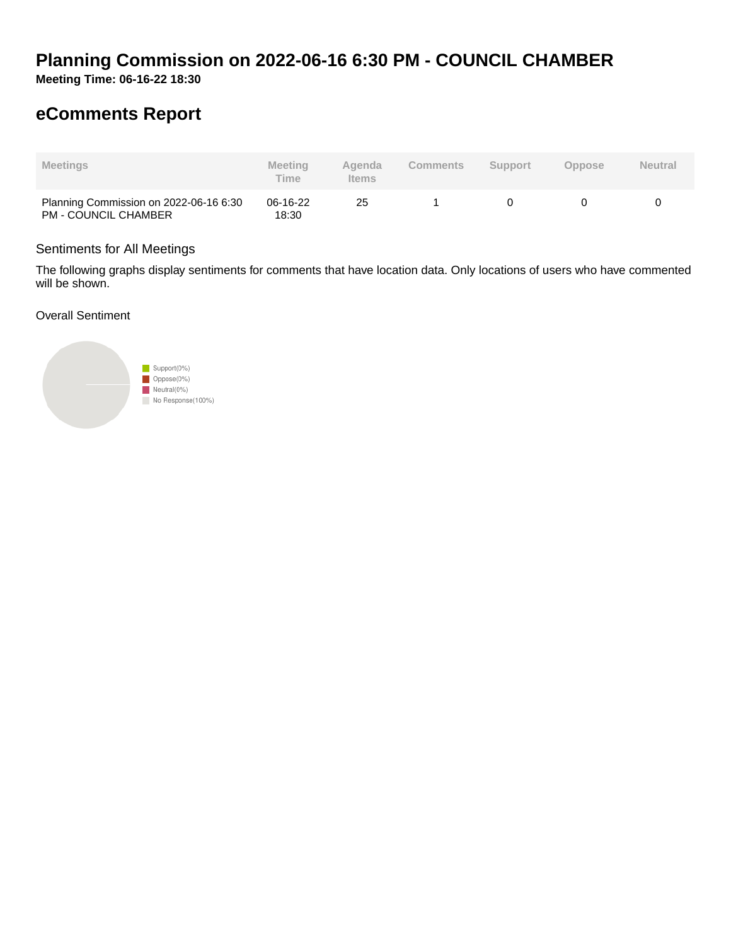# **Planning Commission on 2022-06-16 6:30 PM - COUNCIL CHAMBER**

**Meeting Time: 06-16-22 18:30**

## **eComments Report**

| <b>Meetings</b>                                                       | Meeting<br>Time   | Agenda<br><b>Items</b> | <b>Comments</b> | <b>Support</b> | <b>Oppose</b> | <b>Neutral</b> |
|-----------------------------------------------------------------------|-------------------|------------------------|-----------------|----------------|---------------|----------------|
| Planning Commission on 2022-06-16 6:30<br><b>PM - COUNCIL CHAMBER</b> | 06-16-22<br>18:30 | 25                     |                 |                |               |                |

#### Sentiments for All Meetings

The following graphs display sentiments for comments that have location data. Only locations of users who have commented will be shown.

Overall Sentiment

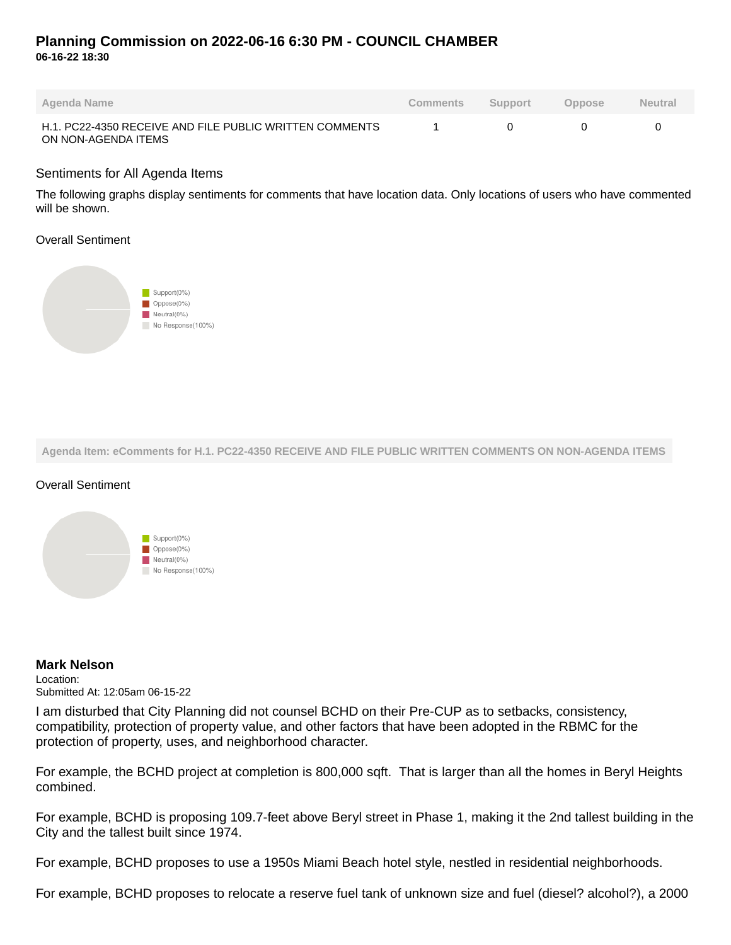### **Planning Commission on 2022-06-16 6:30 PM - COUNCIL CHAMBER 06-16-22 18:30**

| Agenda Name                                                                    | <b>Comments</b> | Support | Oppose | <b>Neutral</b> |
|--------------------------------------------------------------------------------|-----------------|---------|--------|----------------|
| H.1. PC22-4350 RECEIVE AND FILE PUBLIC WRITTEN COMMENTS<br>ON NON-AGENDA ITEMS |                 |         |        |                |

#### Sentiments for All Agenda Items

The following graphs display sentiments for comments that have location data. Only locations of users who have commented will be shown.

#### Overall Sentiment



**Agenda Item: eComments for H.1. PC22-4350 RECEIVE AND FILE PUBLIC WRITTEN COMMENTS ON NON-AGENDA ITEMS**

### Overall Sentiment



#### **Mark Nelson**

Location: Submitted At: 12:05am 06-15-22

I am disturbed that City Planning did not counsel BCHD on their Pre-CUP as to setbacks, consistency, compatibility, protection of property value, and other factors that have been adopted in the RBMC for the protection of property, uses, and neighborhood character.

For example, the BCHD project at completion is 800,000 sqft. That is larger than all the homes in Beryl Heights combined.

For example, BCHD is proposing 109.7-feet above Beryl street in Phase 1, making it the 2nd tallest building in the City and the tallest built since 1974.

For example, BCHD proposes to use a 1950s Miami Beach hotel style, nestled in residential neighborhoods.

For example, BCHD proposes to relocate a reserve fuel tank of unknown size and fuel (diesel? alcohol?), a 2000